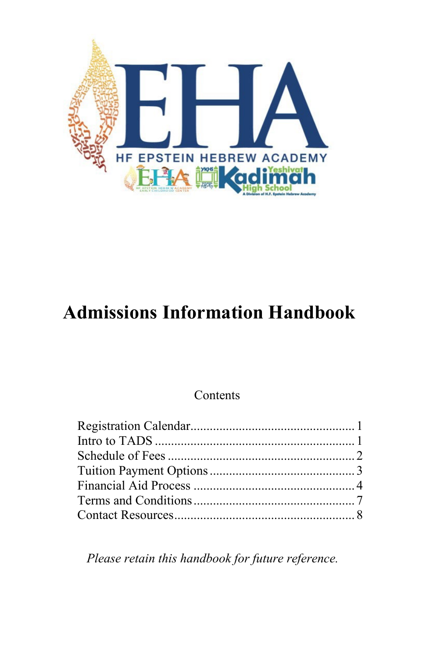

# **Admissions Information Handbook**

## Contents

*Please retain this handbook for future reference.*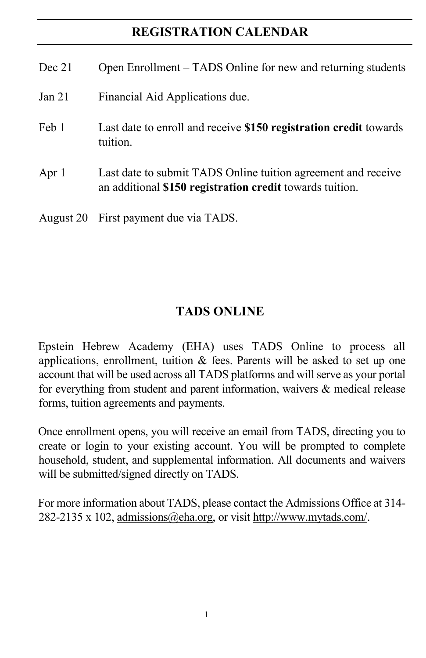## **REGISTRATION CALENDAR**

| Dec 21 | Open Enrollment – TADS Online for new and returning students                                                              |
|--------|---------------------------------------------------------------------------------------------------------------------------|
| Jan 21 | Financial Aid Applications due.                                                                                           |
| Feb 1  | Last date to enroll and receive \$150 registration credit towards<br>tuition.                                             |
| Apr 1  | Last date to submit TADS Online tuition agreement and receive<br>an additional \$150 registration credit towards tuition. |
|        | August 20 First payment due via TADS.                                                                                     |

# **TADS ONLINE**

Epstein Hebrew Academy (EHA) uses TADS Online to process all applications, enrollment, tuition & fees. Parents will be asked to set up one account that will be used across all TADS platforms and will serve as your portal for everything from student and parent information, waivers & medical release forms, tuition agreements and payments.

Once enrollment opens, you will receive an email from TADS, directing you to create or login to your existing account. You will be prompted to complete household, student, and supplemental information. All documents and waivers will be submitted/signed directly on TADS.

For more information about TADS, please contact the Admissions Office at 314- 282-2135 x 102, [admissions@eha.org,](mailto:admissions@eha.org) or visit [http://www.mytads.com/.](http://www.mytads.com/)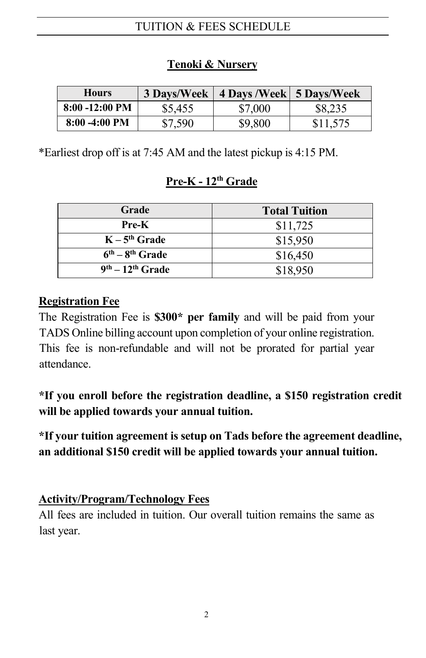## TUITION & FEES SCHEDULE

| <b>Hours</b>              | 3 Days/Week | 4 Days / Week   5 Days/ Week |          |
|---------------------------|-------------|------------------------------|----------|
| $8:00 - 12:00 \text{ PM}$ | \$5,455     | \$7,000                      | \$8,235  |
| $8:00 - 4:00$ PM          | \$7,590     | \$9,800                      | \$11,575 |

#### **Tenoki & Nursery**

\*Earliest drop off is at 7:45 AM and the latest pickup is 4:15 PM.

#### **Pre-K - 12th Grade**

| Grade              | <b>Total Tuition</b> |
|--------------------|----------------------|
| Pre-K              | \$11,725             |
| $K - 5th$ Grade    | \$15,950             |
| $6th - 8th$ Grade  | \$16,450             |
| $9th - 12th$ Grade | \$18,950             |

#### **Registration Fee**

The Registration Fee is **\$300\* per family** and will be paid from your TADS Online billing account upon completion of your online registration. This fee is non-refundable and will not be prorated for partial year attendance.

**\*If you enroll before the registration deadline, a \$150 registration credit will be applied towards your annual tuition.**

**\*If your tuition agreement is setup on Tads before the agreement deadline, an additional \$150 credit will be applied towards your annual tuition.**

#### **Activity/Program/Technology Fees**

All fees are included in tuition. Our overall tuition remains the same as last year.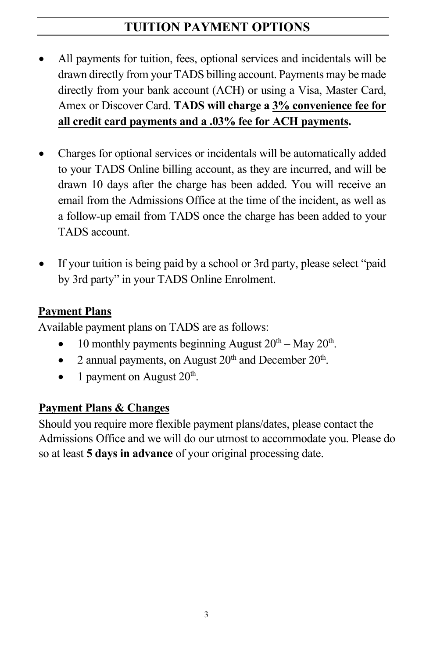# **TUITION PAYMENT OPTIONS**

- All payments for tuition, fees, optional services and incidentals will be drawn directly from your TADS billing account. Payments may be made directly from your bank account (ACH) or using a Visa, Master Card, Amex or Discover Card. **TADS will charge a 3% convenience fee for all credit card payments and a .03% fee for ACH payments.**
- Charges for optional services or incidentals will be automatically added to your TADS Online billing account, as they are incurred, and will be drawn 10 days after the charge has been added. You will receive an email from the Admissions Office at the time of the incident, as well as a follow-up email from TADS once the charge has been added to your TADS account.
- If your tuition is being paid by a school or 3rd party, please select "paid by 3rd party" in your TADS Online Enrolment.

## **Payment Plans**

Available payment plans on TADS are as follows:

- 10 monthly payments beginning August  $20<sup>th</sup> May 20<sup>th</sup>$ .
- 2 annual payments, on August  $20<sup>th</sup>$  and December  $20<sup>th</sup>$ .
- 1 payment on August  $20<sup>th</sup>$ .

# **Payment Plans & Changes**

Should you require more flexible payment plans/dates, please contact the Admissions Office and we will do our utmost to accommodate you. Please do so at least **5 days in advance** of your original processing date.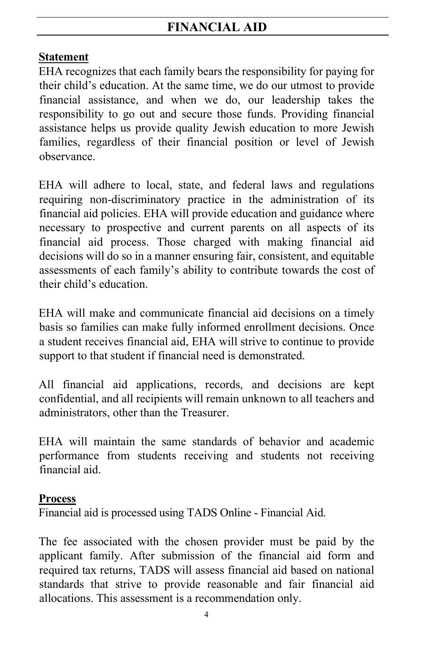## **Statement**

EHA recognizes that each family bears the responsibility for paying for their child's education. At the same time, we do our utmost to provide financial assistance, and when we do, our leadership takes the responsibility to go out and secure those funds. Providing financial assistance helps us provide quality Jewish education to more Jewish families, regardless of their financial position or level of Jewish observance.

EHA will adhere to local, state, and federal laws and regulations requiring non-discriminatory practice in the administration of its financial aid policies. EHA will provide education and guidance where necessary to prospective and current parents on all aspects of its financial aid process. Those charged with making financial aid decisions will do so in a manner ensuring fair, consistent, and equitable assessments of each family's ability to contribute towards the cost of their child's education.

EHA will make and communicate financial aid decisions on a timely basis so families can make fully informed enrollment decisions. Once a student receives financial aid, EHA will strive to continue to provide support to that student if financial need is demonstrated.

All financial aid applications, records, and decisions are kept confidential, and all recipients will remain unknown to all teachers and administrators, other than the Treasurer.

EHA will maintain the same standards of behavior and academic performance from students receiving and students not receiving financial aid.

## **Process**

Financial aid is processed using TADS Online - Financial Aid.

The fee associated with the chosen provider must be paid by the applicant family. After submission of the financial aid form and required tax returns, TADS will assess financial aid based on national standards that strive to provide reasonable and fair financial aid allocations. This assessment is a recommendation only.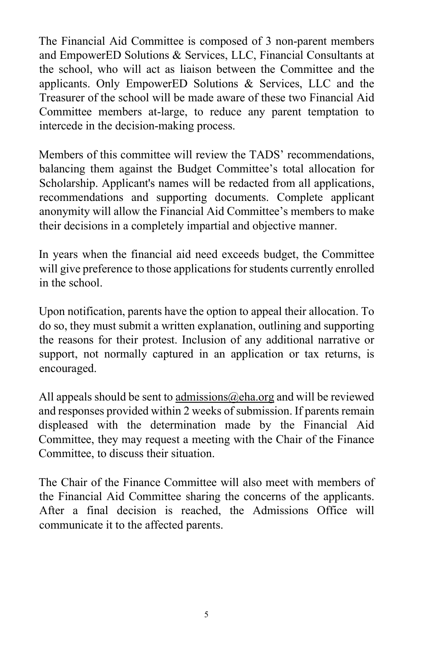The Financial Aid Committee is composed of 3 non-parent members and EmpowerED Solutions & Services, LLC, Financial Consultants at the school, who will act as liaison between the Committee and the applicants. Only EmpowerED Solutions & Services, LLC and the Treasurer of the school will be made aware of these two Financial Aid Committee members at-large, to reduce any parent temptation to intercede in the decision-making process.

Members of this committee will review the TADS' recommendations, balancing them against the Budget Committee's total allocation for Scholarship. Applicant's names will be redacted from all applications, recommendations and supporting documents. Complete applicant anonymity will allow the Financial Aid Committee's members to make their decisions in a completely impartial and objective manner.

In years when the financial aid need exceeds budget, the Committee will give preference to those applications for students currently enrolled in the school.

Upon notification, parents have the option to appeal their allocation. To do so, they must submit a written explanation, outlining and supporting the reasons for their protest. Inclusion of any additional narrative or support, not normally captured in an application or tax returns, is encouraged.

All appeals should be sent to  $\frac{admissions@cha.org}{ab唱}$  and will be reviewed and responses provided within 2 weeks of submission. If parents remain displeased with the determination made by the Financial Aid Committee, they may request a meeting with the Chair of the Finance Committee, to discuss their situation.

The Chair of the Finance Committee will also meet with members of the Financial Aid Committee sharing the concerns of the applicants. After a final decision is reached, the Admissions Office will communicate it to the affected parents.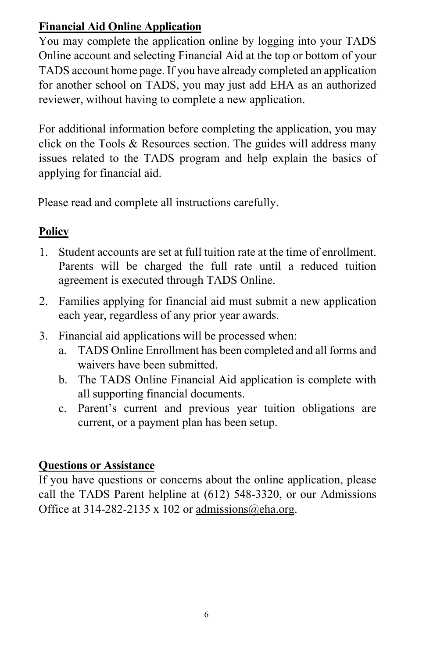## **Financial Aid Online Application**

You may complete the application online by logging into your TADS Online account and selecting Financial Aid at the top or bottom of your TADS account home page. If you have already completed an application for another school on TADS, you may just add EHA as an authorized reviewer, without having to complete a new application.

For additional information before completing the application, you may click on the Tools & Resources section. The guides will address many issues related to the TADS program and help explain the basics of applying for financial aid.

Please read and complete all instructions carefully.

# **Policy**

- 1. Student accounts are set at full tuition rate at the time of enrollment. Parents will be charged the full rate until a reduced tuition agreement is executed through TADS Online.
- 2. Families applying for financial aid must submit a new application each year, regardless of any prior year awards.
- 3. Financial aid applications will be processed when:
	- a. TADS Online Enrollment has been completed and all forms and waivers have been submitted.
	- b. The TADS Online Financial Aid application is complete with all supporting financial documents.
	- c. Parent's current and previous year tuition obligations are current, or a payment plan has been setup.

## **Questions or Assistance**

If you have questions or concerns about the online application, please call the TADS Parent helpline at (612) 548-3320, or our Admissions Office at 314-282-2135 x 102 or admissions  $@eba.org$ .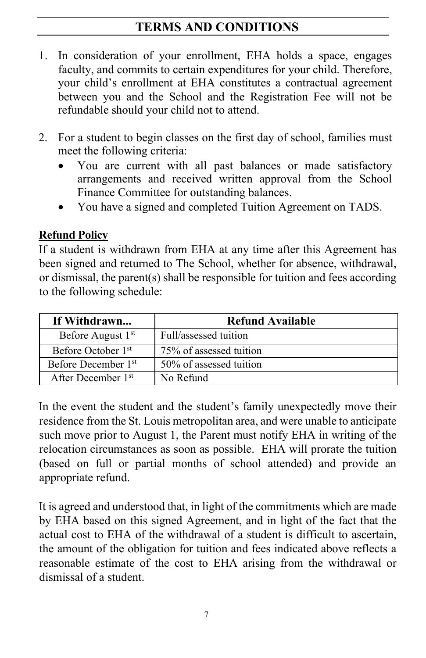# **TERMS AND CONDITIONS**

- 1. In consideration of your enrollment, EHA holds a space, engages faculty, and commits to certain expenditures for your child. Therefore, your child's enrollment at EHA constitutes a contractual agreement between you and the School and the Registration Fee will not be refundable should your child not to attend.
- 2. For a student to begin classes on the first day of school, families must meet the following criteria:
	- You are current with all past balances or made satisfactory arrangements and received written approval from the School Finance Committee for outstanding balances.
	- You have a signed and completed Tuition Agreement on TADS.

#### **Refund Policy**

If a student is withdrawn from EHA at any time after this Agreement has been signed and returned to The School, whether for absence, withdrawal, or dismissal, the parent(s) shall be responsible for tuition and fees according to the following schedule:

| If Withdrawn                    | <b>Refund Available</b> |
|---------------------------------|-------------------------|
| Before August 1 <sup>st</sup>   | Full/assessed tuition   |
| Before October 1 <sup>st</sup>  | 75% of assessed tuition |
| Before December 1 <sup>st</sup> | 50% of assessed tuition |
| After December 1 <sup>st</sup>  | No Refund               |

In the event the student and the student's family unexpectedly move their residence from the St. Louis metropolitan area, and were unable to anticipate such move prior to August 1, the Parent must notify EHA in writing of the relocation circumstances as soon as possible. EHA will prorate the tuition (based on full or partial months of school attended) and provide an appropriate refund.

It is agreed and understood that, in light of the commitments which are made by EHA based on this signed Agreement, and in light of the fact that the actual cost to EHA of the withdrawal of a student is difficult to ascertain, the amount of the obligation for tuition and fees indicated above reflects a reasonable estimate of the cost to EHA arising from the withdrawal or dismissal of a student.